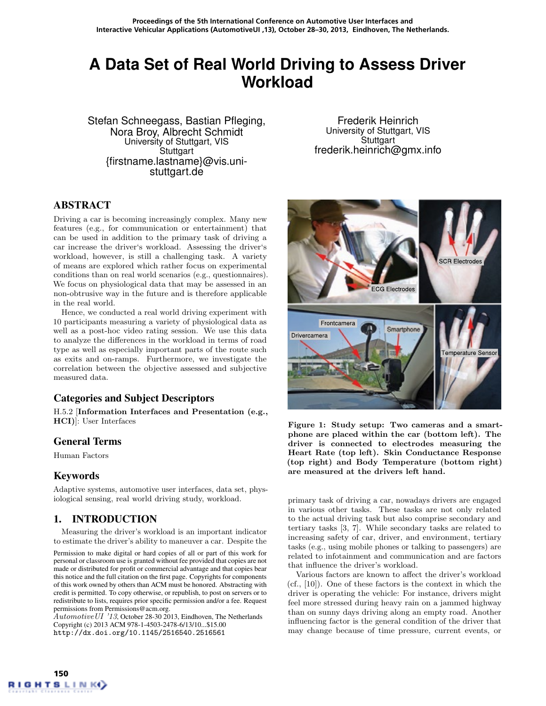# **A Data Set of Real World Driving to Assess Driver Workload**

Stefan Schneegass, Bastian Pfleging, Nora Broy, Albrecht Schmidt University of Stuttgart, VIS **Stuttgart** {firstname.lastname}@vis.unistuttgart.de

Frederik Heinrich University of Stuttgart, VIS **Stuttgart** frederik.heinrich@gmx.info

### ABSTRACT

Driving a car is becoming increasingly complex. Many new features (e.g., for communication or entertainment) that can be used in addition to the primary task of driving a car increase the driver's workload. Assessing the driver's workload, however, is still a challenging task. A variety of means are explored which rather focus on experimental conditions than on real world scenarios (e.g., questionnaires). We focus on physiological data that may be assessed in an non-obtrusive way in the future and is therefore applicable in the real world.

Hence, we conducted a real world driving experiment with 10 participants measuring a variety of physiological data as well as a post-hoc video rating session. We use this data to analyze the differences in the workload in terms of road type as well as especially important parts of the route such as exits and on-ramps. Furthermore, we investigate the correlation between the objective assessed and subjective measured data.

### Categories and Subject Descriptors

H.5.2 [Information Interfaces and Presentation (e.g., HCI)]: User Interfaces

#### General Terms

Human Factors

## Keywords

Adaptive systems, automotive user interfaces, data set, physiological sensing, real world driving study, workload.

## 1. INTRODUCTION

Measuring the driver's workload is an important indicator to estimate the driver's ability to maneuver a car. Despite the

Permission to make digital or hard copies of all or part of this work for personal or classroom use is granted without fee provided that copies are not made or distributed for profit or commercial advantage and that copies bear this notice and the full citation on the first page. Copyrights for components of this work owned by others than ACM must be honored. Abstracting with credit is permitted. To copy otherwise, or republish, to post on servers or to redistribute to lists, requires prior specific permission and/or a fee. Request permissions from Permissions@acm.org.

*AutomotiveUI '13*, October 28-30 2013, Eindhoven, The Netherlands Copyright (c) 2013 ACM 978-1-4503-2478-6/13/10...\$15.00 http://dx.doi.org/10.1145/2516540.2516561



Figure 1: Study setup: Two cameras and a smartphone are placed within the car (bottom left). The driver is connected to electrodes measuring the Heart Rate (top left). Skin Conductance Response (top right) and Body Temperature (bottom right) are measured at the drivers left hand.

primary task of driving a car, nowadays drivers are engaged in various other tasks. These tasks are not only related to the actual driving task but also comprise secondary and tertiary tasks [3, 7]. While secondary tasks are related to increasing safety of car, driver, and environment, tertiary tasks (e.g., using mobile phones or talking to passengers) are related to infotainment and communication and are factors that influence the driver's workload.

Various factors are known to affect the driver's workload (cf., [10]). One of these factors is the context in which the driver is operating the vehicle: For instance, drivers might feel more stressed during heavy rain on a jammed highway than on sunny days driving along an empty road. Another influencing factor is the general condition of the driver that may change because of time pressure, current events, or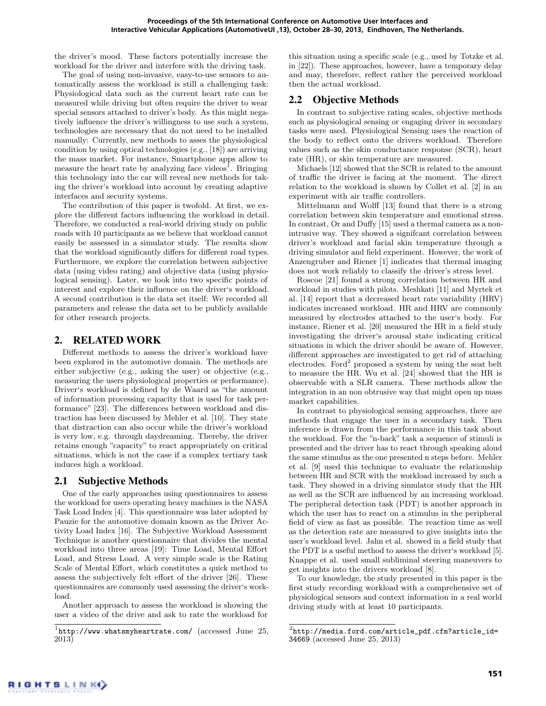the driver's mood. These factors potentially increase the workload for the driver and interfere with the driving task.

The goal of using non-invasive, easy-to-use sensors to automatically assess the workload is still a challenging task: Physiological data such as the current heart rate can be measured while driving but often require the driver to wear special sensors attached to driver's body. As this might negatively influence the driver's willingness to use such a system, technologies are necessary that do not need to be installed manually: Currently, new methods to asses the physiological condition by using optical technologies (e.g., [18]) are arriving the mass market. For instance, Smartphone apps allow to measure the heart rate by analyzing face videos<sup>1</sup>. Bringing this technology into the car will reveal new methods for taking the driver's workload into account by creating adaptive interfaces and security systems.

The contribution of this paper is twofold. At first, we explore the different factors influencing the workload in detail. Therefore, we conducted a real-world driving study on public roads with 10 participants as we believe that workload cannot easily be assessed in a simulator study. The results show that the workload significantly differs for different road types. Furthermore, we explore the correlation between subjective data (using video rating) and objective data (using physiological sensing). Later, we look into two specific points of interest and explore their influence on the driver's workload. A second contribution is the data set itself: We recorded all parameters and release the data set to be publicly available for other research projects.

### 2. RELATED WORK

Different methods to assess the driver's workload have been explored in the automotive domain. The methods are either subjective (e.g., asking the user) or objective (e.g., measuring the users physiological properties or performance). Driver's workload is defined by de Waard as "the amount of information processing capacity that is used for task performance" [23]. The differences between workload and distraction has been discussed by Mehler et al. [10]. They state that distraction can also occur while the driver's workload is very low, e.g. through daydreaming. Thereby, the driver retains enough "capacity" to react appropriately on critical situations, which is not the case if a complex tertiary task induces high a workload.

## 2.1 Subjective Methods

One of the early approaches using questionnaires to assess the workload for users operating heavy machines is the NASA Task Load Index [4]. This questionnaire was later adopted by Pauzie for the automotive domain known as the Driver Activity Load Index [16]. The Subjective Workload Assessment Technique is another questionnaire that divides the mental workload into three areas [19]: Time Load, Mental Effort Load, and Stress Load. A very simple scale is the Rating Scale of Mental Effort, which constitutes a quick method to assess the subjectively felt effort of the driver [26]. These questionnaires are commonly used assessing the driver's workload.

Another approach to assess the workload is showing the user a video of the drive and ask to rate the workload for this situation using a specific scale (e.g., used by Totzke et al. in [22]). These approaches, however, have a temporary delay and may, therefore, reflect rather the perceived workload then the actual workload.

# 2.2 Objective Methods

In contrast to subjective rating scales, objective methods such as physiological sensing or engaging driver in secondary tasks were used. Physiological Sensing uses the reaction of the body to reflect onto the drivers workload. Therefore values such as the skin conductance response (SCR), heart rate (HR), or skin temperature are measured.

Michaels [12] showed that the SCR is related to the amount of traffic the driver is facing at the moment. The direct relation to the workload is shown by Collet et al. [2] in an experiment with air traffic controllers.

Mittelmann and Wolff [13] found that there is a strong correlation between skin temperature and emotional stress. In contrast, Or and Duffy [15] used a thermal camera as a nonintrusive way. They showed a signifcant correlation between driver's workload and facial skin temperature through a driving simulator and field experiment. However, the work of Anzengruber and Riener [1] indicates that thermal imaging does not work reliably to classify the driver's stress level.

Roscoe [21] found a strong correlation between HR and workload in studies with pilots. Meshkati [11] and Myrtek et al. [14] report that a decreased heart rate variability (HRV) indicates increased workload. HR and HRV are commonly measured by electrodes attached to the user's body. For instance, Riener et al. [20] measured the HR in a field study investigating the driver's arousal state indicating critical situations in which the driver should be aware of. However, different approaches are investigated to get rid of attaching electrodes. Ford<sup>2</sup> proposed a system by using the seat belt to measure the HR. Wu et al. [24] showed that the HR is observable with a SLR camera. These methods allow the integration in an non obtrusive way that might open up mass market capabilities.

In contrast to physiological sensing approaches, there are methods that engage the user in a secondary task. Then inference is drawn from the performance in this task about the workload. For the "n-back" task a sequence of stimuli is presented and the driver has to react through speaking aloud the same stimulus as the one presented n steps before. Mehler et al. [9] used this technique to evaluate the relationship between HR and SCR with the workload increased by such a task. They showed in a driving simulator study that the HR as well as the SCR are influenced by an increasing workload. The peripheral detection task (PDT) is another approach in which the user has to react on a stimulus in the peripheral field of view as fast as possible. The reaction time as well as the detection rate are measured to give insights into the user's workload level. Jahn et al. showed in a field study that the PDT is a useful method to assess the driver's workload [5]. Knappe et al. used small subliminal steering maneuvers to get insights into the drivers workload [8].

To our knowledge, the study presented in this paper is the first study recording workload with a comprehensive set of physiological sensors and context information in a real world driving study with at least 10 participants.

 $1$ http://www.whatsmyheartrate.com/ (accessed June 25, 2013)

 $2$ http://media.ford.com/article\_pdf.cfm?article\_id= 34669 (accessed June 25, 2013)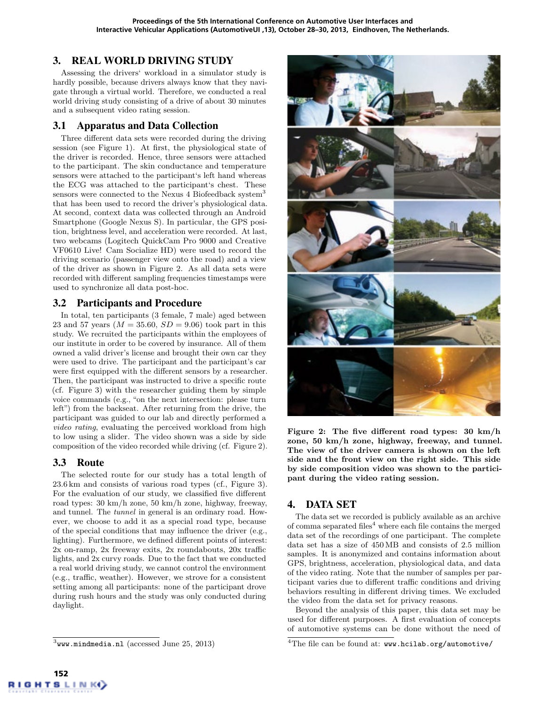### 3. REAL WORLD DRIVING STUDY

Assessing the drivers' workload in a simulator study is hardly possible, because drivers always know that they navigate through a virtual world. Therefore, we conducted a real world driving study consisting of a drive of about 30 minutes and a subsequent video rating session.

### 3.1 Apparatus and Data Collection

Three different data sets were recorded during the driving session (see Figure 1). At first, the physiological state of the driver is recorded. Hence, three sensors were attached to the participant. The skin conductance and temperature sensors were attached to the participant's left hand whereas the ECG was attached to the participant's chest. These sensors were connected to the Nexus 4 Biofeedback system<sup>3</sup> that has been used to record the driver's physiological data. At second, context data was collected through an Android Smartphone (Google Nexus S). In particular, the GPS position, brightness level, and acceleration were recorded. At last, two webcams (Logitech QuickCam Pro 9000 and Creative VF0610 Live! Cam Socialize HD) were used to record the driving scenario (passenger view onto the road) and a view of the driver as shown in Figure 2. As all data sets were recorded with different sampling frequencies timestamps were used to synchronize all data post-hoc.

### 3.2 Participants and Procedure

In total, ten participants (3 female, 7 male) aged between 23 and 57 years (*M* = 35*.*60, *SD* = 9*.*06) took part in this study. We recruited the participants within the employees of our institute in order to be covered by insurance. All of them owned a valid driver's license and brought their own car they were used to drive. The participant and the participant's car were first equipped with the different sensors by a researcher. Then, the participant was instructed to drive a specific route (cf. Figure 3) with the researcher guiding them by simple voice commands (e.g., "on the next intersection: please turn left") from the backseat. After returning from the drive, the participant was guided to our lab and directly performed a *video rating*, evaluating the perceived workload from high to low using a slider. The video shown was a side by side composition of the video recorded while driving (cf. Figure 2).

### 3.3 Route

The selected route for our study has a total length of 23.6 km and consists of various road types (cf., Figure 3). For the evaluation of our study, we classified five different road types: 30 km/h zone, 50 km/h zone, highway, freeway, and tunnel. The *tunnel* in general is an ordinary road. However, we choose to add it as a special road type, because of the special conditions that may influence the driver (e.g., lighting). Furthermore, we defined different points of interest: 2x on-ramp, 2x freeway exits, 2x roundabouts, 20x traffic lights, and 2x curvy roads. Due to the fact that we conducted a real world driving study, we cannot control the environment (e.g., traffic, weather). However, we strove for a consistent setting among all participants: none of the participant drove during rush hours and the study was only conducted during daylight.

 $3$ www.mindmedia.nl (accessed June 25, 2013)



Figure 2: The five different road types:  $30 \text{ km/h}$ zone, 50 km/h zone, highway, freeway, and tunnel. The view of the driver camera is shown on the left side and the front view on the right side. This side by side composition video was shown to the participant during the video rating session.

#### 4. DATA SET

The data set we recorded is publicly available as an archive of comma separated files<sup>4</sup> where each file contains the merged data set of the recordings of one participant. The complete data set has a size of 450 MB and consists of 2.5 million samples. It is anonymized and contains information about GPS, brightness, acceleration, physiological data, and data of the video rating. Note that the number of samples per participant varies due to different traffic conditions and driving behaviors resulting in different driving times. We excluded the video from the data set for privacy reasons.

Beyond the analysis of this paper, this data set may be used for different purposes. A first evaluation of concepts of automotive systems can be done without the need of

<sup>&</sup>lt;sup>4</sup>The file can be found at: www.hcilab.org/automotive/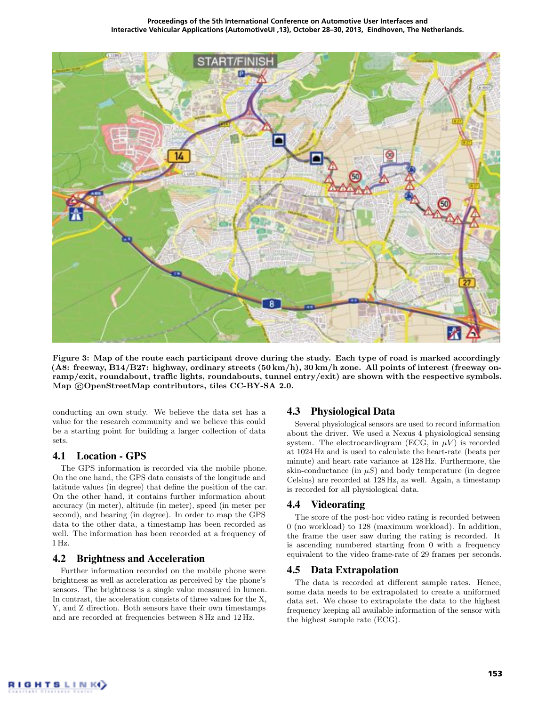

Figure 3: Map of the route each participant drove during the study. Each type of road is marked accordingly (A8: freeway, B14/B27: highway, ordinary streets (50 km/h), 30 km/h zone. All points of interest (freeway onramp/exit, roundabout, traffic lights, roundabouts, tunnel entry/exit) are shown with the respective symbols. Map © OpenStreetMap contributors, tiles CC-BY-SA 2.0.

conducting an own study. We believe the data set has a value for the research community and we believe this could be a starting point for building a larger collection of data sets.

## 4.1 Location - GPS

The GPS information is recorded via the mobile phone. On the one hand, the GPS data consists of the longitude and latitude values (in degree) that define the position of the car. On the other hand, it contains further information about accuracy (in meter), altitude (in meter), speed (in meter per second), and bearing (in degree). In order to map the GPS data to the other data, a timestamp has been recorded as well. The information has been recorded at a frequency of 1 Hz.

### 4.2 Brightness and Acceleration

Further information recorded on the mobile phone were brightness as well as acceleration as perceived by the phone's sensors. The brightness is a single value measured in lumen. In contrast, the acceleration consists of three values for the X, Y, and Z direction. Both sensors have their own timestamps and are recorded at frequencies between 8 Hz and 12 Hz.

## 4.3 Physiological Data

Several physiological sensors are used to record information about the driver. We used a Nexus 4 physiological sensing system. The electrocardiogram (ECG, in  $\mu V$ ) is recorded at 1024 Hz and is used to calculate the heart-rate (beats per minute) and heart rate variance at 128 Hz. Furthermore, the skin-conductance (in  $\mu S$ ) and body temperature (in degree Celsius) are recorded at 128 Hz, as well. Again, a timestamp is recorded for all physiological data.

### 4.4 Videorating

The score of the post-hoc video rating is recorded between 0 (no workload) to 128 (maximum workload). In addition, the frame the user saw during the rating is recorded. It is ascending numbered starting from 0 with a frequency equivalent to the video frame-rate of 29 frames per seconds.

### 4.5 Data Extrapolation

The data is recorded at different sample rates. Hence, some data needs to be extrapolated to create a uniformed data set. We chose to extrapolate the data to the highest frequency keeping all available information of the sensor with the highest sample rate (ECG).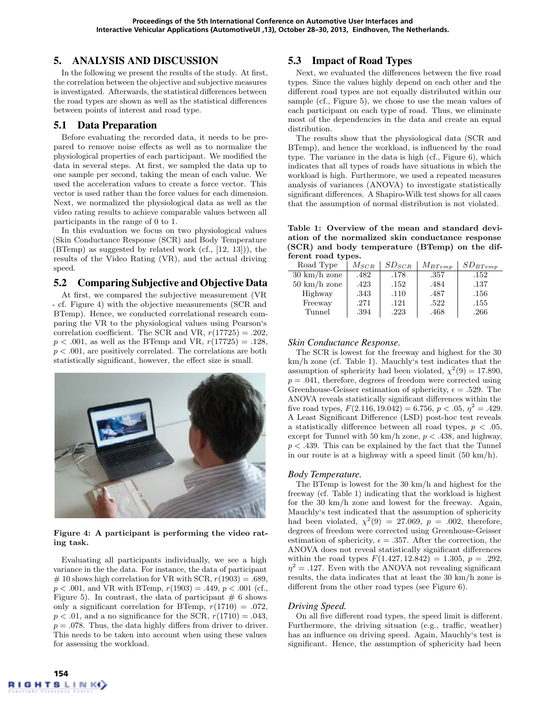### 5. ANALYSIS AND DISCUSSION

In the following we present the results of the study. At first, the correlation between the objective and subjective measures is investigated. Afterwards, the statistical differences between the road types are shown as well as the statistical differences between points of interest and road type.

#### 5.1 Data Preparation

Before evaluating the recorded data, it needs to be prepared to remove noise effects as well as to normalize the physiological properties of each participant. We modified the data in several steps. At first, we sampled the data up to one sample per second, taking the mean of each value. We used the acceleration values to create a force vector. This vector is used rather than the force values for each dimension. Next, we normalized the physiological data as well as the video rating results to achieve comparable values between all participants in the range of 0 to 1.

In this evaluation we focus on two physiological values (Skin Conductance Response (SCR) and Body Temperature (BTemp) as suggested by related work (cf., [12, 13])), the results of the Video Rating (VR), and the actual driving speed.

### 5.2 Comparing Subjective and Objective Data

At first, we compared the subjective measurement (VR - cf. Figure 4) with the objective measurements (SCR and BTemp). Hence, we conducted correlational research comparing the VR to the physiological values using Pearson's correlation coefficient. The SCR and VR,  $r(17725) = .202$ ,  $p < .001$ , as well as the BTemp and VR,  $r(17725) = .128$ ,  $p < .001$ , are positively correlated. The correlations are both statistically significant, however, the effect size is small.



#### Figure 4: A participant is performing the video rating task.

Evaluating all participants individually, we see a high variance in the the data. For instance, the data of participant  $\#$  10 shows high correlation for VR with SCR,  $r(1903) = .689$ ,  $p < .001$ , and VR with BTemp,  $r(1903) = .449$ ,  $p < .001$  (cf., Figure 5). In contrast, the data of participant  $# 6$  shows only a significant correlation for BTemp,  $r(1710) = .072$ ,  $p < .01$ , and a no significance for the SCR,  $r(1710) = .043$ ,  $p = .078$ . Thus, the data highly differs from driver to driver. This needs to be taken into account when using these values for assessing the workload.

## 5.3 Impact of Road Types

Next, we evaluated the differences between the five road types. Since the values highly depend on each other and the different road types are not equally distributed within our sample (cf., Figure 5), we chose to use the mean values of each participant on each type of road. Thus, we eliminate most of the dependencies in the data and create an equal distribution.

The results show that the physiological data (SCR and BTemp), and hence the workload, is influenced by the road type. The variance in the data is high (cf., Figure 6), which indicates that all types of roads have situations in which the workload is high. Furthermore, we used a repeated measures analysis of variances (ANOVA) to investigate statistically significant differences. A Shapiro-Wilk test shows for all cases that the assumption of normal distribution is not violated.

Table 1: Overview of the mean and standard deviation of the normalized skin conductance response (SCR) and body temperature (BTemp) on the different road types.

| $M_{SCR}$ | $SD_{SCR}$ | $M_{BTemp}$ | $SD_{BTemp}$ |
|-----------|------------|-------------|--------------|
| .482      | .178       | .357        | .152         |
| .423      | .152       | .484        | .137         |
| .343      | .110       | .487        | .156         |
| .271      | .121       | .522        | .155         |
| .394      | .223       | .468        | .266         |
|           |            |             |              |

#### *Skin Conductance Response.*

The SCR is lowest for the freeway and highest for the 30 km/h zone (cf. Table 1). Mauchly's test indicates that the assumption of sphericity had been violated,  $\chi^2(9) = 17.890$ ,  $p = .041$ , therefore, degrees of freedom were corrected using Greenhouse-Geisser estimation of sphericity,  $\epsilon = .529$ . The ANOVA reveals statistically significant differences within the five road types,  $F(2.116, 19.042) = 6.756, p < .05, \eta^2 = .429$ . A Least Significant Difference (LSD) post-hoc test reveals a statistically difference between all road types,  $p < .05$ , except for Tunnel with 50 km/h zone,  $p < .438$ , and highway,  $p < .439$ . This can be explained by the fact that the Tunnel in our route is at a highway with a speed limit (50 km/h).

#### *Body Temperature.*

The BTemp is lowest for the 30 km/h and highest for the freeway (cf. Table 1) indicating that the workload is highest for the 30 km/h zone and lowest for the freeway. Again, Mauchly's test indicated that the assumption of sphericity had been violated,  $\chi^2(9) = 27.069$ ,  $p = .002$ , therefore, degrees of freedom were corrected using Greenhouse-Geisser estimation of sphericity,  $\epsilon = .357$ . After the correction, the ANOVA does not reveal statistically significant differences within the road types  $F(1.427, 12.842) = 1.305, p = .292,$  $\eta^2 = .127$ . Even with the ANOVA not revealing significant results, the data indicates that at least the 30 km/h zone is different from the other road types (see Figure  $6$ ).

#### *Driving Speed.*

On all five different road types, the speed limit is different. Furthermore, the driving situation (e.g., traffic, weather) has an influence on driving speed. Again, Mauchly's test is significant. Hence, the assumption of sphericity had been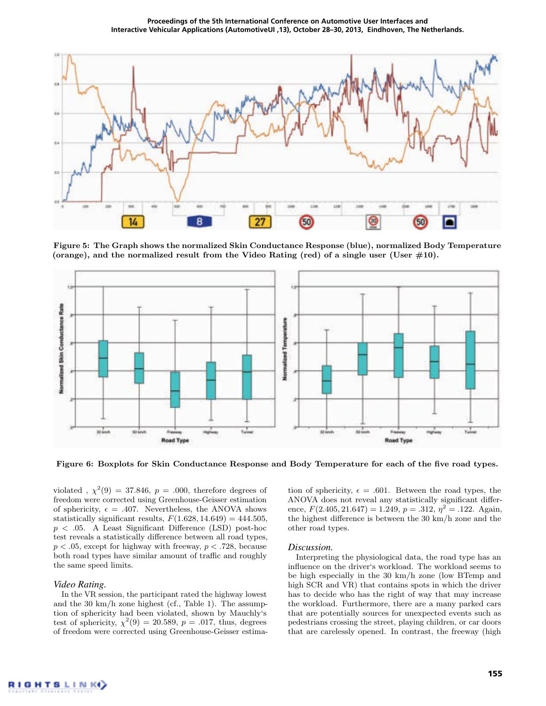**Proceedings of the 5th International Conference on Automotive User Interfaces and Interactive Vehicular Applications (AutomotiveUI '13), October 28–30, 2013, Eindhoven, The Netherlands.**



Figure 5: The Graph shows the normalized Skin Conductance Response (blue), normalized Body Temperature (orange), and the normalized result from the Video Rating (red) of a single user (User  $\#10$ ).



Figure 6: Boxplots for Skin Conductance Response and Body Temperature for each of the five road types.

violated,  $\chi^2(9) = 37.846$ ,  $p = .000$ , therefore degrees of freedom were corrected using Greenhouse-Geisser estimation of sphericity,  $\epsilon = .407$ . Nevertheless, the ANOVA shows statistically significant results,  $F(1.628, 14.649) = 444.505$ ,  $p < .05$ . A Least Significant Difference (LSD) post-hoc test reveals a statistically difference between all road types,  $p < .05$ , except for highway with freeway,  $p < .728$ , because both road types have similar amount of traffic and roughly the same speed limits.

#### *Video Rating.*

In the VR session, the participant rated the highway lowest and the 30 km/h zone highest (cf., Table 1). The assumption of sphericity had been violated, shown by Mauchly's test of sphericity,  $\chi^2(9) = 20.589$ ,  $p = .017$ , thus, degrees of freedom were corrected using Greenhouse-Geisser estimation of sphericity,  $\epsilon = .601$ . Between the road types, the ANOVA does not reveal any statistically significant difference,  $F(2.405, 21.647) = 1.249$ ,  $p = .312$ ,  $\eta^2 = .122$ . Again, the highest difference is between the  $30 \text{ km/h}$  zone and the other road types.

#### *Discussion.*

Interpreting the physiological data, the road type has an influence on the driver's workload. The workload seems to be high especially in the 30 km/h zone (low BTemp and high SCR and VR) that contains spots in which the driver has to decide who has the right of way that may increase the workload. Furthermore, there are a many parked cars that are potentially sources for unexpected events such as pedestrians crossing the street, playing children, or car doors that are carelessly opened. In contrast, the freeway (high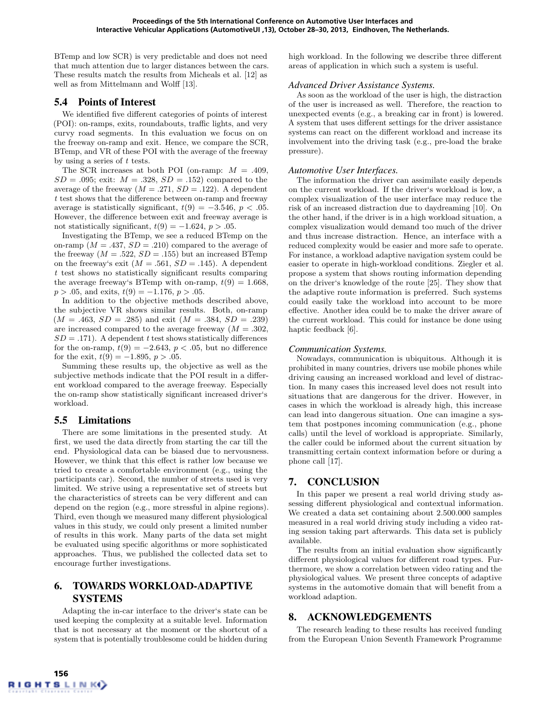BTemp and low SCR) is very predictable and does not need that much attention due to larger distances between the cars. These results match the results from Micheals et al. [12] as well as from Mittelmann and Wolff [13].

#### 5.4 Points of Interest

We identified five different categories of points of interest (POI): on-ramps, exits, roundabouts, traffic lights, and very curvy road segments. In this evaluation we focus on on the freeway on-ramp and exit. Hence, we compare the SCR, BTemp, and VR of these POI with the average of the freeway by using a series of *t* tests.

The SCR increases at both POI (on-ramp:  $M = .409$ ,  $SD = .095$ ; exit:  $M = .328$ ,  $SD = .152$ ) compared to the average of the freeway  $(M = .271, SD = .122)$ . A dependent  $t$  test shows that the difference between on-ramp and freeway average is statistically significant,  $t(9) = -3.546$ ,  $p < .05$ . However, the difference between exit and freeway average is not statistically significant,  $t(9) = -1.624$ ,  $p > .05$ .

Investigating the BTemp, we see a reduced BTemp on the on-ramp  $(M = .437, SD = .210)$  compared to the average of the freeway  $(M = .522, SD = .155)$  but an increased BTemp on the freeway's exit  $(M = .561, SD = .145)$ . A dependent *t* test shows no statistically significant results comparing the average freeway's BTemp with on-ramp,  $t(9) = 1.668$ , *p* > .05, and exits,  $t(9) = −1.176$ ,  $p > .05$ .

In addition to the objective methods described above, the subjective VR shows similar results. Both, on-ramp  $(M = .463, SD = .285)$  and exit  $(M = .384, SD = .239)$ are increased compared to the average freeway  $(M = .302, )$  $SD = .171$ . A dependent *t* test shows statistically differences for the on-ramp,  $t(9) = -2.643$ ,  $p < .05$ , but no difference for the exit,  $t(9) = -1.895$ ,  $p > .05$ .

Summing these results up, the objective as well as the subjective methods indicate that the POI result in a different workload compared to the average freeway. Especially the on-ramp show statistically significant increased driver's workload.

## 5.5 Limitations

There are some limitations in the presented study. At first, we used the data directly from starting the car till the end. Physiological data can be biased due to nervousness. However, we think that this effect is rather low because we tried to create a comfortable environment (e.g., using the participants car). Second, the number of streets used is very limited. We strive using a representative set of streets but the characteristics of streets can be very different and can depend on the region (e.g., more stressful in alpine regions). Third, even though we measured many different physiological values in this study, we could only present a limited number of results in this work. Many parts of the data set might be evaluated using specific algorithms or more sophisticated approaches. Thus, we published the collected data set to encourage further investigations.

# 6. TOWARDS WORKLOAD-ADAPTIVE SYSTEMS

Adapting the in-car interface to the driver's state can be used keeping the complexity at a suitable level. Information that is not necessary at the moment or the shortcut of a system that is potentially troublesome could be hidden during high workload. In the following we describe three different areas of application in which such a system is useful.

#### *Advanced Driver Assistance Systems.*

As soon as the workload of the user is high, the distraction of the user is increased as well. Therefore, the reaction to unexpected events (e.g., a breaking car in front) is lowered. A system that uses different settings for the driver assistance systems can react on the different workload and increase its involvement into the driving task (e.g., pre-load the brake pressure).

#### *Automotive User Interfaces.*

The information the driver can assimilate easily depends on the current workload. If the driver's workload is low, a complex visualization of the user interface may reduce the risk of an increased distraction due to daydreaming [10]. On the other hand, if the driver is in a high workload situation, a complex visualization would demand too much of the driver and thus increase distraction. Hence, an interface with a reduced complexity would be easier and more safe to operate. For instance, a workload adaptive navigation system could be easier to operate in high-workload conditions. Ziegler et al. propose a system that shows routing information depending on the driver's knowledge of the route [25]. They show that the adaptive route information is preferred. Such systems could easily take the workload into account to be more effective. Another idea could be to make the driver aware of the current workload. This could for instance be done using haptic feedback [6].

#### *Communication Systems.*

Nowadays, communication is ubiquitous. Although it is prohibited in many countries, drivers use mobile phones while driving causing an increased workload and level of distraction. In many cases this increased level does not result into situations that are dangerous for the driver. However, in cases in which the workload is already high, this increase can lead into dangerous situation. One can imagine a system that postpones incoming communication (e.g., phone calls) until the level of workload is appropriate. Similarly, the caller could be informed about the current situation by transmitting certain context information before or during a phone call [17].

## 7. CONCLUSION

In this paper we present a real world driving study assessing different physiological and contextual information. We created a data set containing about 2.500.000 samples measured in a real world driving study including a video rating session taking part afterwards. This data set is publicly available.

The results from an initial evaluation show significantly different physiological values for different road types. Furthermore, we show a correlation between video rating and the physiological values. We present three concepts of adaptive systems in the automotive domain that will benefit from a workload adaption.

## 8. ACKNOWLEDGEMENTS

The research leading to these results has received funding from the European Union Seventh Framework Programme